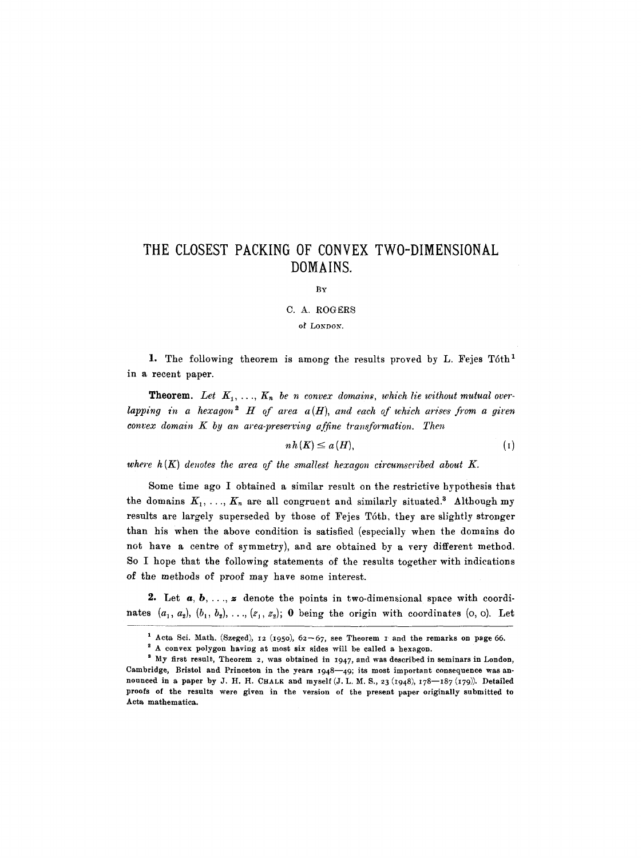## **THE CLOSEST PACKING OF CONVEX TWO-DIMENSIONAL DOMAINS.**

BY

C. A. ROGERS

of LONDON.

1. The following theorem is among the results proved by L. Fejes Tóth<sup>1</sup> in a recent paper.

**Theorem.** Let  $K_1, \ldots, K_n$  be n convex domains, which lie without mutual over*lapping in a hexagon*<sup>2</sup>  $H$  of area  $a(H)$ , and each of which arises from a given *convex domain K by an area-preserving affine transformation. Then* 

 $nh(K) \leq a(H),$  (I)

where  $h(K)$  denotes the area of the smallest hexagon circumscribed about  $K$ .

Some time ago I obtained a similar result on the restrictive hypothesis that the domains  $K_1, \ldots, K_n$  are all congruent and similarly situated.<sup>3</sup> Although my results are largely superseded by those of Fejes Tóth, they are slightly stronger than his when the above condition is satisfied (especially when the domains do not have a centre of symmetry), and are obtained by a very different method. So I hope that the following statements of the results together with indications of the methods of proof may have some interest.

2. Let  $a, b, \ldots, z$  denote the points in two-dimensional space with coordinates  $(a_1, a_2), (b_1, b_2), \ldots, (z_1, z_2);$  0 being the origin with coordinates (o, o). Let

<sup>&</sup>lt;sup>1</sup> Acta Sci. Math. (Szeged), 12 (1950),  $62-67$ , see Theorem I and the remarks on page 66.

A convex polygon having at most six sides will be called a hexagon.

<sup>&</sup>lt;sup>3</sup> My first result, Theorem 2, was obtained in 1947, and was described in seminars in London, Cambridge, Bristol and Princeton in the years  $1948-49$ ; its most important consequence was announced in a paper by J. H. H. CHALK and myself (J. L. M. S., 23 (1948),  $178-187$  (179)). Detailed proofs of the results were given in the version of the present paper originally submitted to Acta mathematica.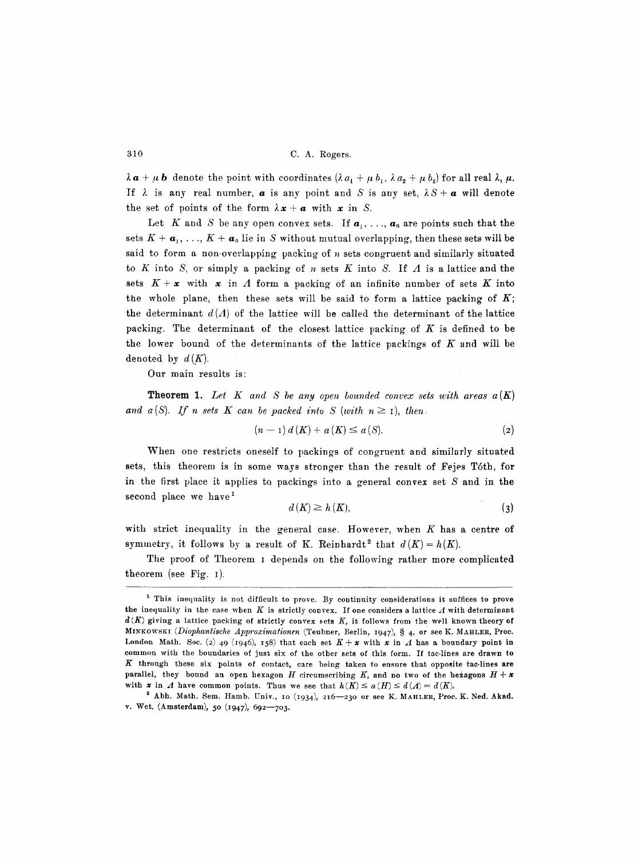$\lambda a + \mu b$  denote the point with coordinates  $(\lambda a_1 + \mu b_1, \lambda a_2 + \mu b_2)$  for all real  $\lambda, \mu$ . If  $\lambda$  is any real number,  $\alpha$  is any point and S is any set,  $\lambda S + \alpha$  will denote the set of points of the form  $\lambda x + a$  with x in S.

Let K and S be any open convex sets. If  $a_1, \ldots, a_n$  are points such that the sets  $K + a_1, \ldots, K + a_n$  lie in S without mutual overlapping, then these sets will be said to form a non-overlapping packing of  $n$  sets congruent and similarly situated to K into S, or simply a packing of n sets K into S. If  $\Lambda$  is a lattice and the sets  $K + x$  with x in A form a packing of an infinite number of sets K into the whole plane, then these sets will be said to form a lattice packing of  $K$ ; the determinant  $d(\Lambda)$  of the lattice will be called the determinant of the lattice packing. The determinant of the closest lattice packing of  $K$  is defined to be the lower bound of the determinants of the lattice packings of  $K$  and will be denoted by  $d(K)$ .

Our main results is:

**Theorem 1.** Let  $K$  and  $S$  be any open bounded convex sets with areas  $a(K)$ and  $a(S)$ . If n sets K can be packed into S (with  $n \geq 1$ ), then

$$
(n-1) d(K) + a(K) \le a(S).
$$
 (2)

When one restricts oneself to packings of congruent and similarly situated sets, this theorem is in some ways stronger than the result of Fejes T6th, for in the first place it applies to packings into a general convex set  $S$  and in the second place we have  $<sup>1</sup>$ </sup>

$$
d(K) \ge h(K),\tag{3}
$$

with strict inequality in the general case. However, when  $K$  has a centre of symmetry, it follows by a result of K. Reinhardt<sup>2</sup> that  $d(K) = h(K)$ .

The proof of Theorem i depends on the following rather more complicated theorem (see Fig. I).

<sup>&</sup>lt;sup>1</sup> This inequality is not difficult to prove. By continuity considerations it suffices to prove the inequality in the case when K is strictly convex. If one considers a lattice  $\Lambda$  with determinant *d(K)* giving a lattice packing of strictly convex sets K, it follows from the well known theory of MINKOWSKI *(Diophantische Approximationen (Teubner, Berlin, 1947)*, § 4, or see K. MAHLER, Proc. London Math. Soc. (2) 49 (1946), 158) that each set  $K + x$  with x in  $\Lambda$  has a boundary point in common with the boundaries of just six of the other sets of this form. If tac-lines are drawn to  $K$  through these six points of contact, care being taken to ensure that opposite tac-lines are parallel, they bound an open hexagon H circumscribing K, and no two of the hexagons  $H + x$ with x in A have common points. Thus we see that  $h(K) \le a(H) \le d(A) = d(K)$ .

 $2$  Abh. Math. Sem. Hamb. Univ., 10 (1934), 216-230 or see K. MAHLER, Proc. K. Ned. Akad. v. Wet. (Amsterdam), 50 (1947), 692-703.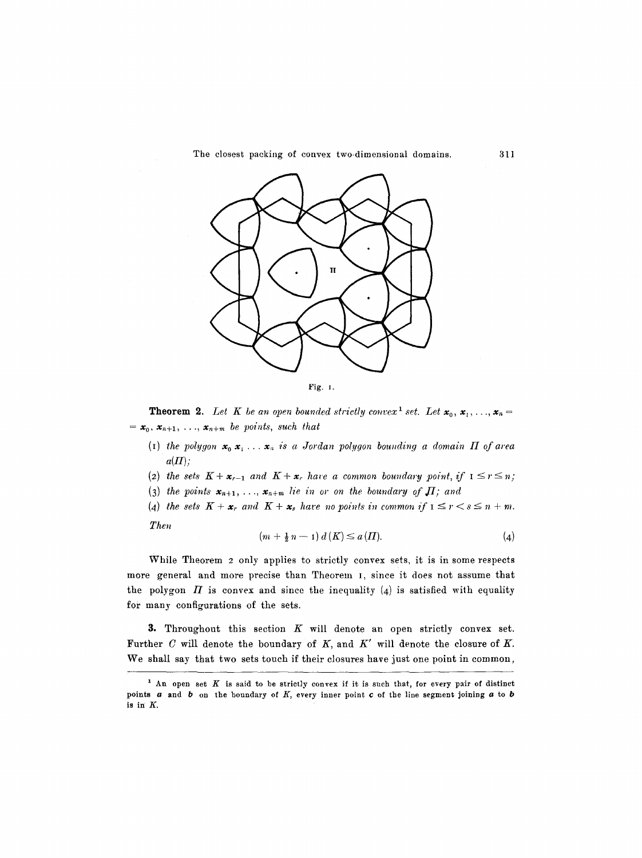The closest packing of convex two-dimensional domains. 311



**Theorem 2.** Let K be an open bounded strictly convex<sup>1</sup> set. Let  $x_0, x_1, \ldots, x_n =$  $=$   $\mathbf{x}_0$ ,  $\mathbf{x}_{n+1}$ ,  $\ldots$ ,  $\mathbf{x}_{n+m}$  be points, such that

- (I) the polygon  $x_0, x_1, \ldots, x_n$  is a Jordan polygon bounding a domain  $\Pi$  of area  $a(\Pi)$ ;
- (2) the sets  $K + \mathbf{x}_{r-1}$  and  $K + \mathbf{x}_r$  have a common boundary point, if  $1 \leq r \leq n$ ;
- (3) the points  $x_{n+1},..., x_{n+m}$  lie in or on the boundary of  $\Pi$ ; and
- (4) *the sets*  $K + \mathbf{x}_r$  and  $K + \mathbf{x}_s$  have no points in common if  $1 \leq r < s \leq n + m$ . *The~*

$$
(m + \frac{1}{2}n - 1) d(K) \le a(H). \tag{4}
$$

While Theorem 2 only applies to strictly convex sets, it is in some respects more general and more precise than Theorem I, since it does not assume that the polygon  $\Pi$  is convex and since the inequality (4) is satisfied with equality for many configurations of the sets.

3. Throughout this section  $K$  will denote an open strictly convex set. Further C will denote the boundary of K, and *K'* will denote the closure of K. We shall say that two sets touch if their closures have just one point in common,

<sup>&</sup>lt;sup>1</sup> An open set K is said to be strictly convex if it is such that, for every pair of distinct points  $a$  and  $b$  on the boundary of  $K$ , every inner point  $c$  of the line segment joining  $a$  to  $b$ is in K.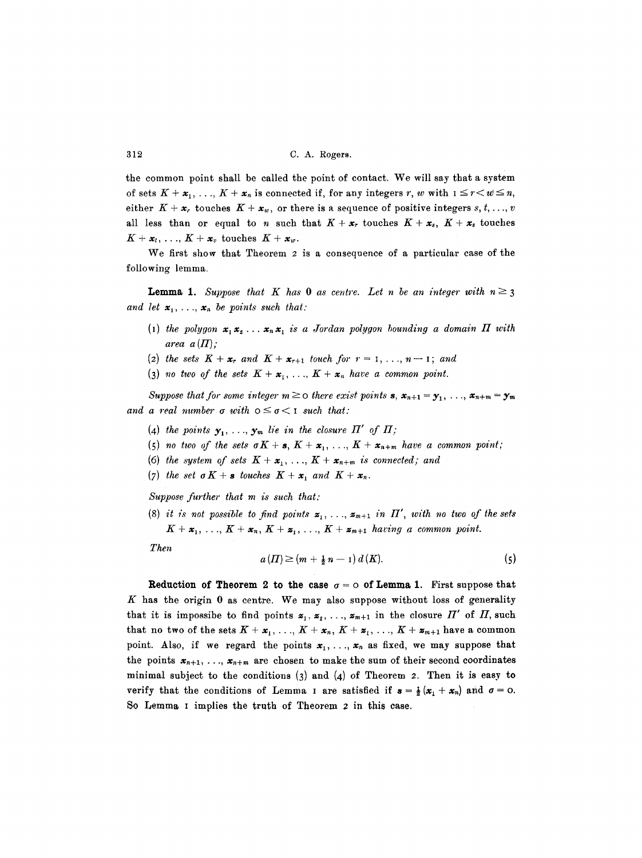the common point shall be called the point of contact. We will say that a system of sets  $K + x_1, \ldots, K + x_n$  is connected if, for any integers r, w with  $1 \leq r < w \leq n$ , either  $K + x_r$  touches  $K + x_w$ , or there is a sequence of positive integers s, t, ..., v all less than or equal to n such that  $K + x_r$  touches  $K + x_s$ ,  $K + x_s$  touches  $K + x_t, \ldots, K + x_v$  touches  $K + x_w$ .

We first show that Theorem 2 is a consequence of a particular case of the following lemma.

and let  $\mathbf{x}_1, \ldots, \mathbf{x}_n$  be points such that: **Lemma 1.** *Suppose that* K has 0 as centre. Let n be an integer with  $n \ge 3$ 

- (I) the polygon  $x_1 x_2 \ldots x_n x_n$  is a Jordan polygon bounding a domain  $\Pi$  with *area*  $a(\Pi)$ ;
- (2) the sets  $K + x_r$  and  $K + x_{r+1}$  touch for  $r = 1, \ldots, n-1$ ; and
- (3) no two of the sets  $K + x_1, \ldots, K + x_n$  have a common point.

and a real number  $\sigma$  with  $0 \leq \sigma < I$  such that: *Suppose that for some integer*  $m \geq 0$  there exist points **s**,  $\mathbf{x}_{n+1} = \mathbf{y}_1, \ldots, \mathbf{x}_{n+m} = \mathbf{y}_m$ 

- (4) the points  $y_1, \ldots, y_m$  lie in the closure  $\Pi'$  of  $\Pi$ ;
- (5) no two of the sets  $\sigma K + s$ ,  $K + x_1, \ldots, K + x_{n+m}$  have a common point;
- (6) the system of sets  $K + x_1, \ldots, K + x_{n+m}$  is connected; and
- (7) the set  $\sigma K + s$  touches  $K + x_1$  and  $K + x_n$ .

*Suppose further that m is such that:* 

(8) it is not possible to find points  $z_1, \ldots, z_{m+1}$  in  $\Pi'$ , with no two of the sets  $K + x_1, \ldots, K + x_n, K + z_1, \ldots, K + z_{m+1}$  having a common point.

*Then* 

$$
a(\Pi) \ge (m + \frac{1}{2}n - 1) d(K). \tag{5}
$$

**Reduction of Theorem 2 to the case**  $\sigma = \circ$  **of Lemma 1.** First suppose that  $K$  has the origin 0 as centre. We may also suppose without loss of generality that it is impossibe to find points  $z_1, z_2, \ldots, z_{m+1}$  in the closure  $\Pi'$  of  $\Pi$ , such that no two of the sets  $K + x_1, \ldots, K + x_n, K + z_1, \ldots, K + z_{m+1}$  have a common point. Also, if we regard the points  $x_1, \ldots, x_n$  as fixed, we may suppose that the points  $x_{n+1}, \ldots, x_{n+m}$  are chosen to make the sum of their second coordinates minimal subject to the conditions  $(3)$  and  $(4)$  of Theorem 2. Then it is easy to verify that the conditions of Lemma I are satisfied if  $s = \frac{1}{2}(x_1 + x_n)$  and  $\sigma = 0$ . So Lemma I implies the truth of Theorem 2 in this case.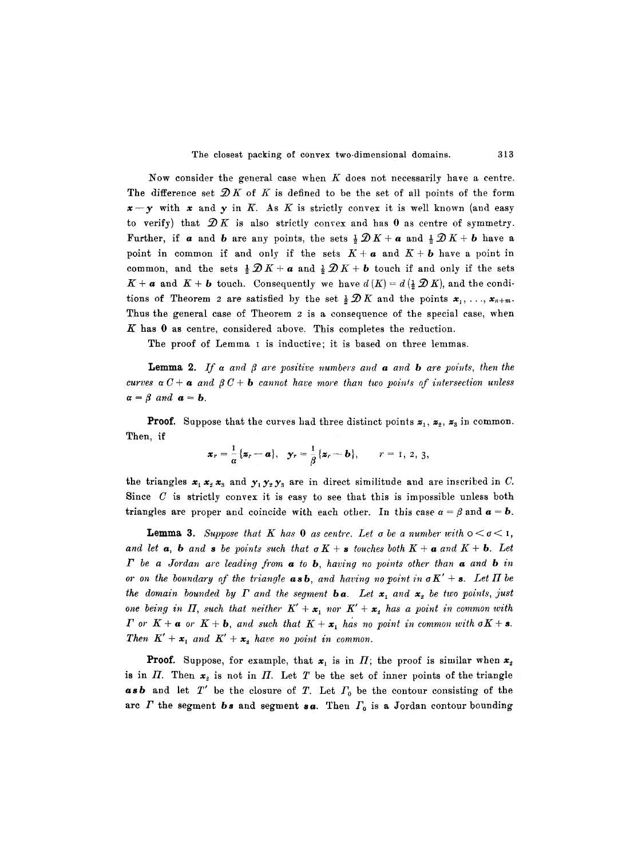Now consider the general case when  $K$  does not necessarily have a centre. The difference set  $\mathcal{D}K$  of K is defined to be the set of all points of the form  $x-y$  with x and y in K. As K is strictly convex it is well known (and easy to verify) that  $\mathscr{D}K$  is also strictly convex and has 0 as centre of symmetry. Further, if **a** and **b** are any points, the sets  $\frac{1}{2}\mathcal{D}K + a$  and  $\frac{1}{2}\mathcal{D}K + b$  have a point in common if and only if the sets  $K + a$  and  $K + b$  have a point in common, and the sets  $\frac{1}{2}\mathcal{D}K + a$  and  $\frac{1}{2}\mathcal{D}K + b$  touch if and only if the sets  $K + a$  and  $K + b$  touch. Consequently we have  $d(K) = d(\frac{1}{2}\mathcal{D}K)$ , and the conditions of Theorem 2 are satisfied by the set  $\frac{1}{2}\mathscr{D}K$  and the points  $\mathbf{x}_1, \ldots, \mathbf{x}_{n+m}$ . Thus the general case of Theorem 2 is a consequence of the special case, when  $K$  has  $0$  as centre, considered above. This completes the reduction.

The proof of Lemma I is inductive; it is based on three lemmas.

**Lemma 2.** If a and  $\beta$  are positive numbers and **a** and **b** are points, then the *curves*  $\alpha C + \alpha$  *and*  $\beta C + \mathbf{b}$  *cannot have more than two points of intersection unless*  $\alpha = \beta$  and  $\alpha = b$ .

**Proof.** Suppose that the curves had three distinct points  $z_1$ ,  $z_2$ ,  $z_3$  in common. Then, if

$$
\boldsymbol{x}_r = \frac{1}{\alpha} \{ \boldsymbol{z}_r - \boldsymbol{a} \}, \quad \boldsymbol{y}_r = \frac{1}{\beta} \{ \boldsymbol{z}_r - \boldsymbol{b} \}, \qquad r = 1, 2, 3,
$$

the triangles  $x_1 x_2 x_3$  and  $y_1 y_2 y_3$  are in direct similitude and are inscribed in C. Since  $C$  is strictly convex it is easy to see that this is impossible unless both triangles are proper and coincide with each other. In this case  $\alpha = \beta$  and  $\alpha = b$ .

**Lemma 3.** Suppose that K has 0 as centre. Let  $\sigma$  be a number with  $0 \leq \sigma \leq 1$ , and let  $\alpha$ , **b** and **s** be points such that  $\sigma K + \mathbf{s}$  touches both  $K + \alpha$  and  $K + \mathbf{b}$ . Let *I* be a Jordan arc leading from **a** to **b**, having no points other than **a** and **b** in *or on the boundary of the triangle asb, and having no point in*  $\sigma K' + s$ *. Let*  $\Pi$  *be* the domain bounded by  $\Gamma$  and the segment **ba**. Let  $x_1$  and  $x_2$  be two points, just *one being in*  $\Pi$ *, such that neither*  $K' + x_1$  nor  $K' + x_2$  has a point in common with *I* or  $K + a$  or  $K + b$ , and such that  $K + x_1$  has no point in common with  $\sigma K + s$ . *Then*  $K' + x_1$  and  $K' + x_2$  have no point in common.

**Proof.** Suppose, for example, that  $x_1$  is in  $\Pi$ ; the proof is similar when  $x_2$ is in  $\Pi$ . Then  $x_2$  is not in  $\Pi$ . Let T be the set of inner points of the triangle  $a s b$  and let  $T'$  be the closure of  $T$ . Let  $\Gamma_0$  be the contour consisting of the are  $\Gamma$  the segment  $\boldsymbol{b}$  s and segment  $\boldsymbol{s}$  a. Then  $\Gamma_0$  is a Jordan contour bounding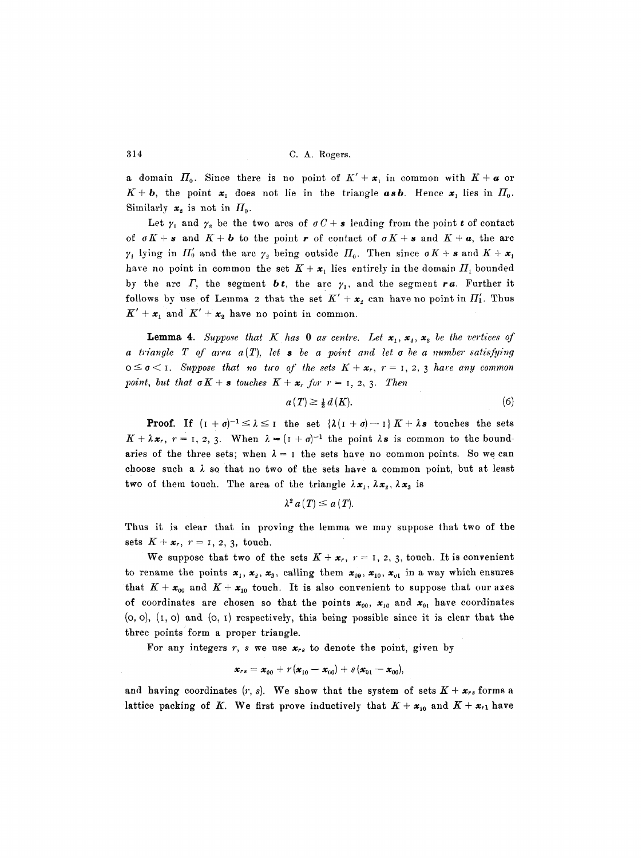a domain  $H_0$ . Since there is no point of  $K' + x_1$  in common with  $K + a$  or  $K + b$ , the point  $x_1$  does not lie in the triangle  $a s b$ . Hence  $x_1$  lies in  $H_0$ . Similarly  $x_2$  is not in  $\Pi_0$ .

Let  $\gamma_1$  and  $\gamma_2$  be the two arcs of  $\sigma C + s$  leading from the point t of contact of  $\sigma K + s$  and  $K + b$  to the point r of contact of  $\sigma K + s$  and  $K + a$ , the arc  $\gamma_+$  lying in  $\Pi'_0$  and the arc  $\gamma_2$  being outside  $\Pi_0$ . Then since  $\sigma K + s$  and  $K + x_1$ have no point in common the set  $K + x_1$  lies entirely in the domain  $\Pi_1$  bounded by the arc  $\Gamma$ , the segment **bt**, the arc  $\gamma_1$ , and the segment **ra**. Further it follows by use of Lemma 2 that the set  $K' + x_2$  can have no point in  $\Pi'_1$ . Thus  $K' + x_1$  and  $K' + x_2$  have no point in common.

**Lemma 4.** Suppose that K has 0 as centre. Let  $x_1, x_2, x_3$  be the vertices of *a triangle T of area*  $a(T)$ *, let s be a point and let o be a number satisfying*  $o \leq \sigma < 1$ . Suppose that no two of the sets  $K + x_r$ ,  $r = 1, 2, 3$  have any common *point, but that*  $\sigma K + s$  *touches*  $K + x_r$  *for*  $r = 1, 2, 3$ . Then

$$
a(T) \ge \frac{1}{2} d(K). \tag{6}
$$

**Proof.** If  $(I + \sigma)^{-1} \leq \lambda \leq I$  the set  $\{\lambda(I + \sigma) - I\}K + \lambda s$  touches the sets  $K+\lambda x_r$ ,  $r=1, 2, 3$ . When  $\lambda = (1 + \sigma)^{-1}$  the point  $\lambda s$  is common to the boundaries of the three sets; when  $\lambda = 1$  the sets have no common points. So we can choose such a  $\lambda$  so that no two of the sets have a common point, but at least two of them touch. The area of the triangle  $\lambda x_1, \lambda x_2, \lambda x_3$  is

$$
\lambda^2\,a(T)\leq a(T).
$$

Thus it is clear that in proving the lemma we may suppose that two of the sets  $K + x_r$ ,  $r = 1, 2, 3$ , touch.

We suppose that two of the sets  $K + x_r$ ,  $r = 1, 2, 3$ , touch. It is convenient to rename the points  $x_1, x_2, x_3$ , calling them  $x_{00}, x_{10}, x_{01}$  in a way which ensures that  $K + x_{00}$  and  $K + x_{10}$  touch. It is also convenient to suppose that our axes of coordinates are chosen so that the points  $x_{00}$ ,  $x_{10}$  and  $x_{01}$  have coordinates  $(0, 0)$ ,  $(1, 0)$  and  $(0, 1)$  respectively, this being possible since it is clear that the three points form a proper triangle.

For any integers r, s we use  $x_{rs}$  to denote the point, given by

$$
\mathbf{x}_{rs} = \mathbf{x}_{00} + r(\mathbf{x}_{10} - \mathbf{x}_{00}) + s(\mathbf{x}_{01} - \mathbf{x}_{00}),
$$

and having coordinates  $(r, s)$ . We show that the system of sets  $K + \mathbf{x}_{rs}$  forms a lattice packing of K. We first prove inductively that  $K + x_{10}$  and  $K + x_{r1}$  have

314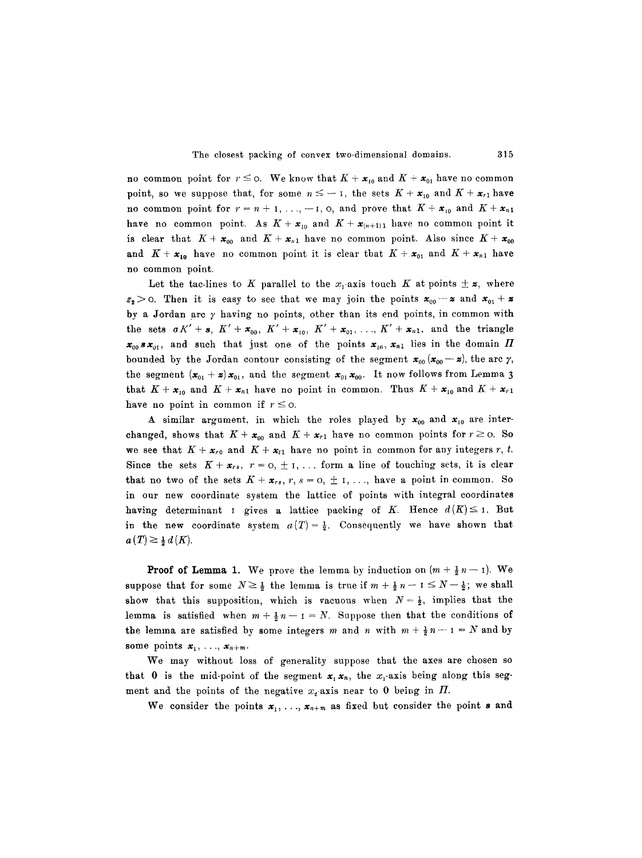no common point for  $r \leq o$ . We know that  $K + x_{10}$  and  $K + x_{01}$  have no common point, so we suppose that, for some  $n \leq -1$ , the sets  $K + x_{10}$  and  $K + x_{r1}$  have no common point for  $r = n + 1, \ldots, -1, 0$ , and prove that  $K + x_{10}$  and  $K + x_{n1}$ have no common point. As  $K + x_{10}$  and  $K + x_{(n+1)1}$  have no common point it is clear that  $K + x_{00}$  and  $K + x_{n1}$  have no common point. Also since  $K + x_{00}$ and  $K + x_{10}$  have no common point it is clear that  $K + x_{01}$  and  $K + x_{n1}$  have no common point.

Let the tac-lines to K parallel to the  $x_i$ -axis touch K at points  $\pm z$ , where  $z_2>0$ . Then it is easy to see that we may join the points  $x_{00}-z$  and  $x_{01}+z$ by a Jordan arc  $\gamma$  having no points, other than its end points, in common with the sets  $\sigma K' + s$ ,  $K' + x_{00}$ ,  $K' + x_{10}$ ,  $K' + x_{01}$ , ...,  $K' + x_{n1}$ , and the triangle  $x_{00}$  s $x_{01}$ , and such that just one of the points  $x_{10}$ ,  $x_{n1}$  lies in the domain  $\Pi$ bounded by the Jordan contour consisting of the segment  $x_{00}(x_{00}-x)$ , the arc  $\gamma$ , the segment  $(x_{01} + z)x_{01}$ , and the segment  $x_{01}x_{00}$ . It now follows from Lemma 3 that  $K + x_{10}$  and  $K + x_{n1}$  have no point in common. Thus  $K + x_{10}$  and  $K + x_{r1}$ have no point in common if  $r \leq 0$ .

A similar argument, in which the roles played by  $x_{00}$  and  $x_{10}$  are interchanged, shows that  $K + x_{00}$  and  $K + x_{r1}$  have no common points for  $r \ge 0$ . So we see that  $K + x_{r0}$  and  $K + x_{t1}$  have no point in common for any integers r, t. Since the sets  $K + x_{rs}$ ,  $r = 0, \pm 1, \ldots$  form a line of touching sets, it is clear that no two of the sets  $K + \mathbf{x}_{rs}$ ,  $r, s = 0, \pm 1, \ldots$ , have a point in common. So in our new coordinate system the lattice of points with integral coordinates having determinant I gives a lattice packing of K. Hence  $d(K) \leq I$ . But in the new coordinate system  $a(T) = \frac{1}{2}$ . Consequently we have shown that  $a(T) \geq \frac{1}{2} d(K)$ .

**Proof of Lemma 1.** We prove the lemma by induction on  $(m + \frac{1}{2}n - 1)$ . We suppose that for some  $N \geq \frac{1}{2}$  the lemma is true if  $m + \frac{1}{2}n - 1 \leq N - \frac{1}{2}$ ; we shall show that this supposition, which is vacuous when  $N=\frac{1}{2}$ , implies that the lemma is satisfied when  $m + \frac{1}{2}n - 1 = N$ . Suppose then that the conditions of the lemma are satisfied by some integers m and n with  $m + \frac{1}{2}n - 1 = N$  and by some points  $x_1, \ldots, x_{n+m}$ .

We may without loss of generality suppose that the axes are chosen so that 0 is the mid-point of the segment  $x_1 x_n$ , the  $x_1$ -axis being along this segment and the points of the negative  $x_i$ -axis near to 0 being in  $\Pi$ .

We consider the points  $x_1, \ldots, x_{n+m}$  as fixed but consider the point s and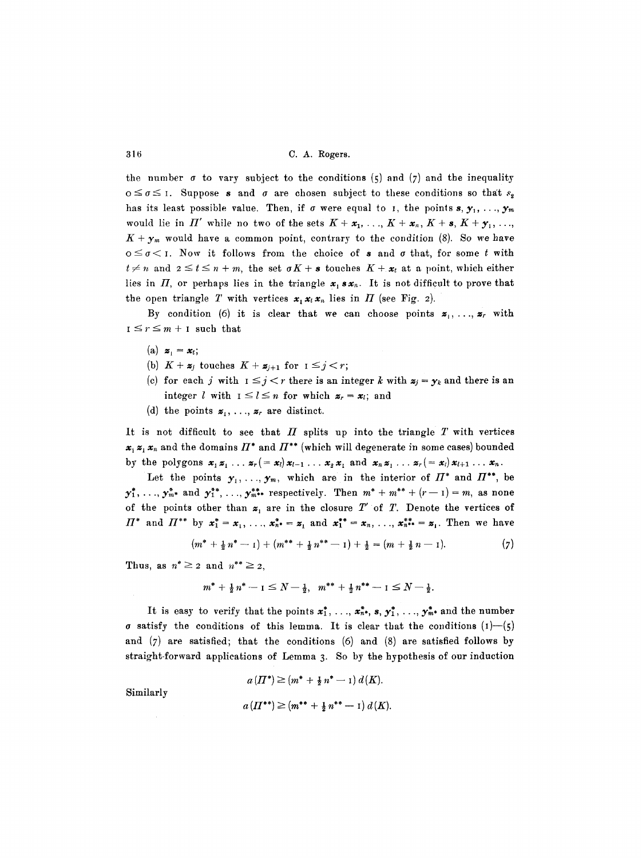the number  $\sigma$  to vary subject to the conditions (5) and (7) and the inequality  $o \leq \sigma \leq 1$ . Suppose s and  $\sigma$  are chosen subject to these conditions so that  $s_2$ has its least possible value. Then, if  $\sigma$  were equal to I, the points  $s, y_1, \ldots, y_m$ would lie in  $\Pi'$  while no two of the sets  $K + x_1, \ldots, K + x_n, K + s, K + y_1, \ldots,$  $K + \mathbf{y}_m$  would have a common point, contrary to the condition (8). So we have  $0 \leq \sigma \leq 1$ . Now it follows from the choice of s and  $\sigma$  that, for some t with  $t \neq n$  and  $2 \leq t \leq n+m$ , the set  $\sigma K + s$  touches  $K + x_t$  at a point, which either lies in  $\Pi$ , or perhaps lies in the triangle  $x_1 \, s \, x_n$ . It is not difficult to prove that the open triangle T with vertices  $x_1 x_2 x_n$  lies in  $\Pi$  (see Fig. 2).

By condition (6) it is clear that we can choose points  $z_1, \ldots, z_r$  with  $I \leq r \leq m + I$  such that

- $(a)$   $\mathbf{z}_1 = \mathbf{x}_t;$
- (b)  $K + z_j$  touches  $K + z_{j+1}$  for  $1 \leq j < r$ ;
- (c) for each j with  $1 \leq j < r$  there is an integer k with  $z_j = y_k$  and there is an integer l with  $1 \leq l \leq n$  for which  $z_r = x_l$ ; and
- (d) the points  $z_1, \ldots, z_r$  are distinct.

It is not difficult to see that  $\Pi$  splits up into the triangle  $T$  with vertices  $x_i$   $x_i$ ,  $x_n$  and the domains  $\Pi^*$  and  $\Pi^{**}$  (which will degenerate in some cases) bounded by the polygons  $x_1x_1 \ldots x_r (= x_l)x_{l-1} \ldots x_2x_1$  and  $x_nx_1 \ldots x_r (= x_l)x_{l+1} \ldots x_n$ .

Let the points  $y_1, \ldots, y_m$ , which are in the interior of  $\Pi^*$  and  $\Pi^{**}$ , be  $y_1^*, \ldots, y_{m^*}^*$  and  $y_1^{**}, \ldots, y_{m^{**}}^{**}$  respectively. Then  $m^* + m^{**} + (r-1) = m$ , as none of the points other than  $z_1$  are in the closure T' of T. Denote the vertices of  $\Pi^*$  and  $\Pi^{**}$  by  $x_1^* = x_1, \ldots, x_{n^*}^* = x_1$  and  $x_1^{**} = x_n, \ldots, x_{n^{**}}^{**} = x_1$ . Then we have

$$
(m^* + \frac{1}{2}n^* - 1) + (m^{**} + \frac{1}{2}n^{**} - 1) + \frac{1}{2} = (m + \frac{1}{2}n - 1).
$$
 (7)

Thus, as  $n^* \geq 2$  and  $n^{**} \geq 2$ ,

$$
m^* + \frac{1}{2}n^* - 1 \leq N - \frac{1}{2}, \quad m^{**} + \frac{1}{2}n^{**} - 1 \leq N - \frac{1}{2}.
$$

It is easy to verify that the points  $x_1^*, \ldots, x_{n^*}^*, s, y_1^*, \ldots, y_{m^*}^*$  and the number  $\sigma$  satisfy the conditions of this lemma. It is clear that the conditions (1)-(5) and  $(7)$  are satisfied; that the conditions  $(6)$  and  $(8)$  are satisfied follows by straight-forward applications of Lemma 3. So by the hypothesis of our induction

$$
a(\Pi^*) \ge (m^* + \frac{1}{2}n^* - 1) d(K).
$$

Similarly

$$
a\left(\Pi^{**}\right) \ge (m^{**} + \frac{1}{2} n^{**} - 1) d(K).
$$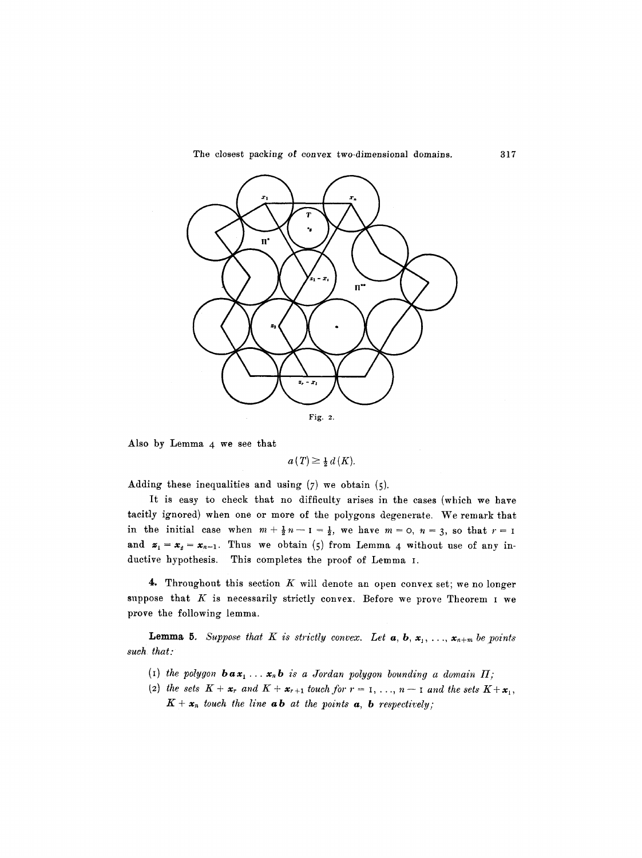

Also by Lemma 4 we see that

 $a(T) \geq \frac{1}{2} d(K)$ .

Adding these inequalities and using  $(7)$  we obtain  $(5)$ .

It is easy to check that no difficulty arises in the cases (which we have tacitly ignored) when one or more of the polygons degenerate. We remark that in the initial case when  $m+\frac{1}{2}n-1=\frac{1}{2}$ , we have  $m=0$ ,  $n=3$ , so that  $r=1$ and  $z_1 = x_2 = x_{n-1}$ . Thus we obtain (5) from Lemma 4 without use of any inductive hypothesis. This completes the proof of Lemma I.

4. Throughout this section  $K$  will denote an open convex set; we no longer suppose that  $K$  is necessarily strictly convex. Before we prove Theorem I we prove the following lemma.

**Lemma 5.** Suppose that K is strictly convex. Let  $a, b, x_1, \ldots, x_{n+m}$  be points *such that:* 

- (I) the polygon  $\mathbf{b} \cdot \mathbf{a} \cdot \mathbf{x}_1 \cdot \cdot \cdot \mathbf{x}_n$ ,  $\mathbf{b}$  is a Jordan polygon bounding a domain  $\Pi$ ;
- (2) the sets  $K + x_r$  and  $K + x_{r+1}$  touch for  $r = 1, \ldots, n-1$  and the sets  $K + x_1$ ,  $K + x_n$  touch the line **ab** at the points **a**, **b** respectively;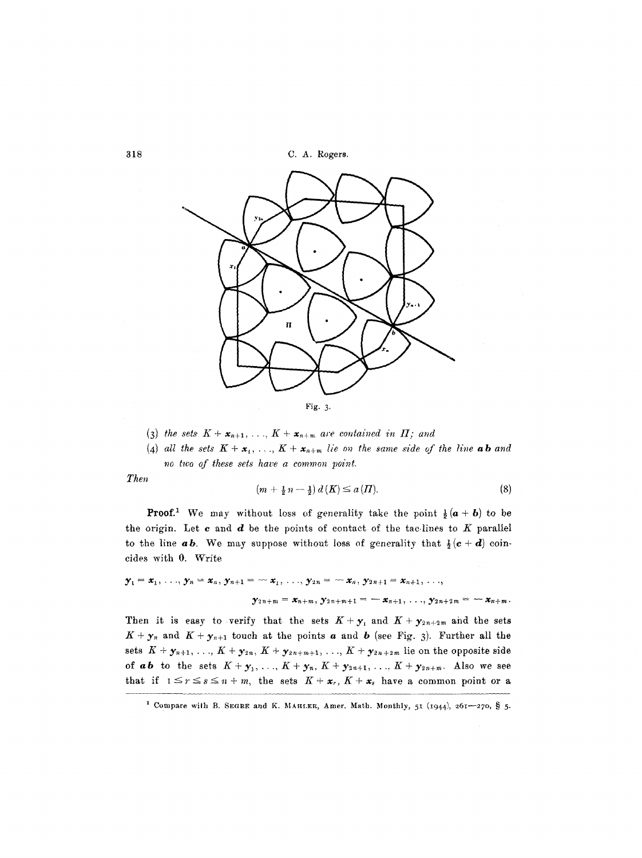**318 C.A. Rogers.** 



- (3) the sets  $K + \mathbf{x}_{n+1}, \ldots, K + \mathbf{x}_{n+m}$  are contained in  $\Pi$ ; and
- (4) all the sets  $K + x_1, \ldots, K + x_{n+m}$  lie on the same side of the line **ab** and *no two of these sets have a common point.*

*Then* 

$$
(m+\frac{1}{2}n-\frac{1}{2})d(K) \le a(H). \tag{8}
$$

**Proof.**<sup>1</sup> We may without loss of generality take the point  $\frac{1}{2}(a + b)$  to be the origin. Let  $c$  and  $d$  be the points of contact of the tac-lines to  $K$  parallel to the line **ab**. We may suppose without loss of generality that  $\frac{1}{2}(\mathbf{c} + \mathbf{d})$  coincides with 0. Write

$$
\mathbf{y}_1 = \mathbf{x}_1, \ldots, \mathbf{y}_n = \mathbf{x}_n, \mathbf{y}_{n+1} = -\mathbf{x}_1, \ldots, \mathbf{y}_{2n} = -\mathbf{x}_n, \mathbf{y}_{2n+1} = \mathbf{x}_{n+1}, \ldots,
$$
  

$$
\mathbf{y}_{2n+m} = \mathbf{x}_{n+m}, \mathbf{y}_{2n+m+1} = -\mathbf{x}_{n+1}, \ldots, \mathbf{y}_{2n+2m} = -\mathbf{x}_{n+m}
$$

Then it is easy to verify that the sets  $K+\mathbf{y}_1$  and  $K+\mathbf{y}_{2n+2m}$  and the sets  $K + \mathbf{y}_n$  and  $K + \mathbf{y}_{n+1}$  touch at the points  $\boldsymbol{a}$  and  $\boldsymbol{b}$  (see Fig. 3). Further all the sets  $K + \mathbf{y}_{n+1}, \ldots, K + \mathbf{y}_{2n}, K + \mathbf{y}_{2n+m+1}, \ldots, K + \mathbf{y}_{2n+2m}$  lie on the opposite side of *ab* to the sets  $K + y_1, ..., K + y_n, K + y_{2n+1}, ..., K + y_{2n+m}$ . Also we see that if  $1 \leq r \leq s \leq n+m$ , the sets  $K+x_r$ ,  $K+x_s$  have a common point or a

<sup>&</sup>lt;sup>1</sup> Compare with B. SEGRE and K. MAHLER, Amer. Math. Monthly, 51 (1944), 261-270, § 5.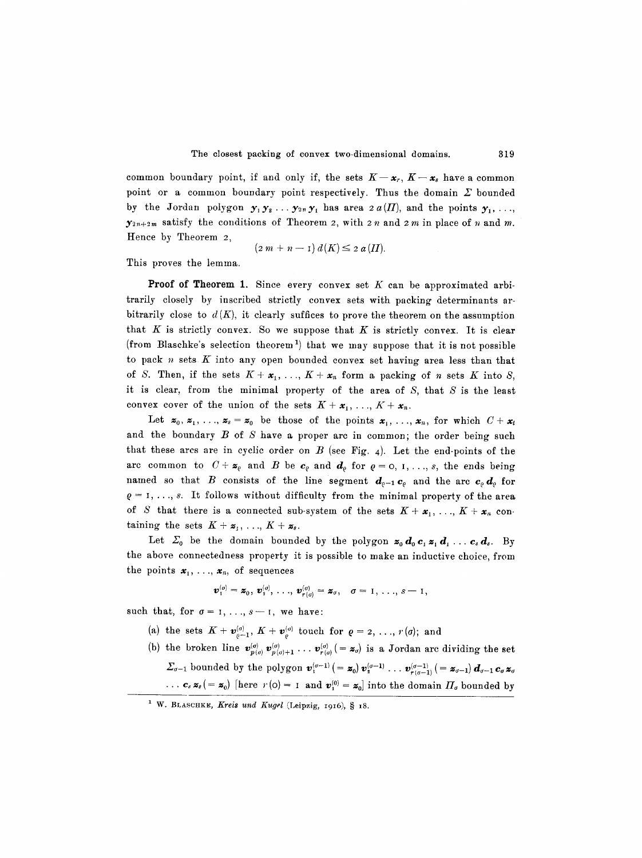common boundary point, if and only if, the sets  $K-x_r$ ,  $K-x_s$  have a common point or a common boundary point respectively. Thus the domain  $\Sigma$  bounded by the Jordan polygon  $y_1y_2... y_{2n}y_1$  has area  $2 a(\Pi)$ , and the points  $y_1, ...,$  $y_{2n+2m}$  satisfy the conditions of Theorem 2, with 2 n and 2 m in place of n and m. Hence by Theorem 2,

$$
(2\,m+n-1)\,d(K)\leq 2\,a\,(H).
$$

This proves the lemma.

**Proof of Theorem 1.** Since every convex set  $K$  can be approximated arbitrarily closely by inscribed strictly convex sets with packing determinants arbitrarily close to  $d(K)$ , it clearly suffices to prove the theorem on the assumption that  $K$  is strictly convex. So we suppose that  $K$  is strictly convex. It is clear (from Blaschke's selection theorem<sup>1</sup>) that we may suppose that it is not possible to pack  $n$  sets  $K$  into any open bounded convex set having area less than that of S. Then, if the sets  $K + x_1, \ldots, K + x_n$  form a packing of n sets K into S, it is clear, from the minimal property of the area of  $S$ , that  $S$  is the least convex cover of the union of the sets  $K + x_1, \ldots, K + x_n$ .

Let  $z_0, z_1, \ldots, z_s = z_0$  be those of the points  $x_1, \ldots, x_n$ , for which  $C + x_t$ and the boundary B of S have a proper arc in common; the order being such that these arcs are in cyclic order on  $B$  (see Fig. 4). Let the end-points of the arc common to  $C + \mathbf{z}_{\varrho}$  and  $B$  be  $\mathbf{c}_{\varrho}$  and  $\mathbf{d}_{\varrho}$  for  $\varrho = 0, 1, ..., s$ , the ends being named so that B consists of the line segment  $d_{\rho-1} c_{\rho}$  and the arc  $c_{\rho} d_{\rho}$  for  $\rho = 1, \ldots, s$ . It follows without difficulty from the minimal property of the area of S that there is a connected sub-system of the sets  $K + x_1, \ldots, K + x_n$  containing the sets  $K + z_1, \ldots, K + z_s$ .

Let  $\mathcal{Z}_0$  be the domain bounded by the polygon  $\mathbf{z}_0 \mathbf{d}_0 \mathbf{c}_1 \mathbf{z}_1 \mathbf{d}_1 \ldots \mathbf{c}_s \mathbf{d}_s$ . By the above connectedness property it is possible to make an inductive choice, from the points  $x_1, \ldots, x_n$ , of sequences

$$
\boldsymbol{v}_1^{(\sigma)}=\boldsymbol{z}_0, \, \boldsymbol{v}_2^{(\sigma)}, \, \ldots, \, \boldsymbol{v}_{r(\sigma)}^{(\sigma)}=\boldsymbol{z}_\sigma, \quad \sigma=1,\, \ldots, \, s-1,
$$

such that, for  $\sigma = 1, \ldots, s-1$ , we have:

- (a) the sets  $K + \nu_{\varrho-1}^{(\sigma)}$ ,  $K + \nu_{\varrho}^{(\sigma)}$  touch for  $\varrho = 2, \ldots, r(\sigma)$ ; and
- (b) the broken line  $\mathbf{v}_{p(q)}^{(\sigma)} \mathbf{v}_{p(q)+1}^{(\sigma)} \dots \mathbf{v}_{r(q)}^{(\sigma)} (= \mathbf{z}_{q})$  is a Jordan arc dividing the set  $\Sigma_{\sigma-1}$  bounded by the polygon  $\mathbf{v}_1^{(\sigma-1)}$  (=  $\mathbf{z}_0$ )  $\mathbf{v}_2^{(\sigma-1)}$  ...  $\mathbf{v}_{r(\sigma-1)}^{(\sigma-1)}$  (=  $\mathbf{z}_{\sigma-1}$ )  $\mathbf{d}_{\sigma-1}$   $\mathbf{c}_{\sigma} \mathbf{z}_{\sigma}$ ...  $c_s z_s (= z_0)$  [here  $r(o) = 1$  and  $v_1^{(0)} = z_0$ ] into the domain  $\Pi_o$  bounded by

<sup>&</sup>lt;sup>1</sup> W. BLASCHKE, *Kreis und Kugel* (Leipzig, 1916), § 18.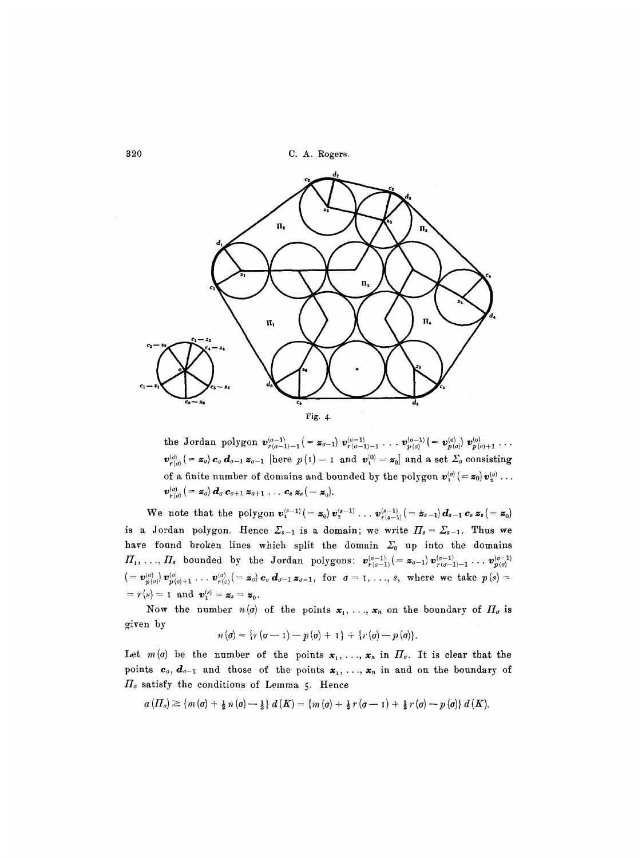320 C. A. Rogers.



the Jordan polygon  $\mathbf{v}_{r(\sigma-1)-1}^{(\sigma-1)} (= \mathbf{z}_{\sigma-1}) \mathbf{v}_{r(\sigma-1)-1}^{(\sigma-1)} \dots \mathbf{v}_{p(\sigma)}^{(\sigma-1)} (= \mathbf{v}_{p(\sigma)}^{(\sigma)}) \mathbf{v}_{p(\sigma)+1}^{(\sigma)} \dots$  $v_{r(\sigma)}^{(\sigma)}$  (=  $\mathbf{z}_{\sigma}$ )  $\mathbf{c}_{\sigma}$   $\mathbf{d}_{\sigma-1}$   $\mathbf{z}_{\sigma-1}$  [here  $p(1)$  = 1 and  $v_1^{(0)} = \mathbf{z}_0$ ] and a set  $\Sigma_{\sigma}$  consisting of a finite number of domains and bounded by the polygon  $\mathbf{v}_1^{(0)}$  (=  $\mathbf{z}_0$ )  $\mathbf{v}_2^{(0)}$ ...  $\boldsymbol{v}_{\boldsymbol{r}(\sigma)}^{(\sigma)}$  ( =  $\boldsymbol{z}_{\sigma}$ )  $\boldsymbol{d}_{\sigma}$  **c**<sub> $\sigma+1}$ </sub>  $\boldsymbol{z}_{\sigma+1}$  ... **c**<sub>s</sub>  $\boldsymbol{z}_{s}$  ( =  $\boldsymbol{z}_{0}$ ).

We note that the polygon  $v_1^{(s-1)} = z_0 v_2^{(s-1)} \dots v_{r(s-1)}^{(s-1)} (= z_{s-1}) d_{s-1} c_s z_s (= z_0)$ is a Jordan polygon. Hence  $\mathcal{Z}_{s-1}$  is a domain; we write  $\Pi_s = \mathcal{Z}_{s-1}$ . Thus we have found broken lines which split the domain  $\Sigma_0$  up into the domains  $\Pi_1, \ldots, \Pi_s$  bounded by the Jordan polygons:  $\mathbf{v}_{r(\sigma-1)}^{(\sigma-1)} (= \mathbf{z}_{\sigma-1}) \mathbf{v}_{r(\sigma-1)-1}^{(\sigma-1)} \ldots \mathbf{v}_{p(\sigma)}^{(\sigma-1)}$  $(= \mathbf{v}_{p(\sigma)}^{(\sigma)} \mathbf{v}_{p(\sigma)+1}^{(\sigma)} \dots \mathbf{v}_{r(\sigma)}^{(\sigma)} (= \mathbf{z}_{\sigma}) \mathbf{c}_{\sigma} \mathbf{d}_{\sigma-1} \mathbf{z}_{\sigma-1},~\text{for } \sigma = 1, \dots, s, \text{ where we take } p(s) = 0$  $= r(s) = 1$  and  $v_1^{(s)} = z_s = z_0$ .

Now the number  $n(\sigma)$  of the points  $\mathbf{x}_1, \ldots, \mathbf{x}_n$  on the boundary of  $\Pi_{\sigma}$  is given by

$$
n(\sigma) = \{r(\sigma-1)-p(\sigma)+1\} + \{r(\sigma)-p(\sigma)\}.
$$

Let  $m(\sigma)$  be the number of the points  $\mathbf{x}_1, \ldots, \mathbf{x}_n$  in  $\mathbf{\Pi}_{\sigma}$ . It is clear that the points  $c_{\sigma}$ ,  $d_{\sigma-1}$  and those of the points  $x_1, \ldots, x_n$  in and on the boundary of  $\Pi_{\sigma}$  satisfy the conditions of Lemma 5. Hence

$$
a\left(\Pi_{\sigma}\right) \geq \left\{m\left(\sigma\right)+\frac{1}{2}\,n\left(\sigma\right)-\frac{1}{2}\right\}\,d\left(K\right) = \left\{m\left(\sigma\right)+\frac{1}{2}\,r\left(\sigma-1\right)+\frac{1}{2}\,r\left(\sigma\right)-p\left(\sigma\right)\right\}\,d\left(K\right)
$$